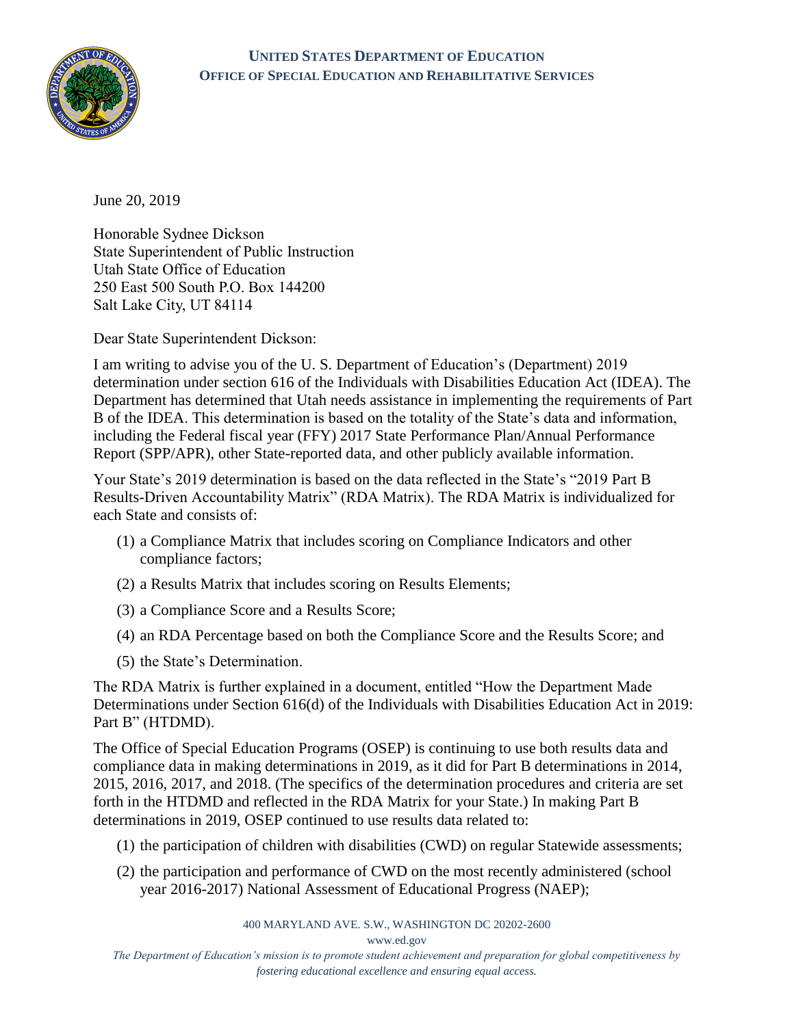## **UNITED STATES DEPARTMENT OF EDUCATION OFFICE OF SPECIAL EDUCATION AND REHABILITATIVE SERVICES**



June 20, 2019

Honorable Sydnee Dickson State Superintendent of Public Instruction Utah State Office of Education 250 East 500 South P.O. Box 144200 Salt Lake City, UT 84114

Dear State Superintendent Dickson:

I am writing to advise you of the U. S. Department of Education's (Department) 2019 determination under section 616 of the Individuals with Disabilities Education Act (IDEA). The Department has determined that Utah needs assistance in implementing the requirements of Part B of the IDEA. This determination is based on the totality of the State's data and information, including the Federal fiscal year (FFY) 2017 State Performance Plan/Annual Performance Report (SPP/APR), other State-reported data, and other publicly available information.

Your State's 2019 determination is based on the data reflected in the State's "2019 Part B Results-Driven Accountability Matrix" (RDA Matrix). The RDA Matrix is individualized for each State and consists of:

- (1) a Compliance Matrix that includes scoring on Compliance Indicators and other compliance factors;
- (2) a Results Matrix that includes scoring on Results Elements;
- (3) a Compliance Score and a Results Score;
- (4) an RDA Percentage based on both the Compliance Score and the Results Score; and
- (5) the State's Determination.

The RDA Matrix is further explained in a document, entitled "How the Department Made Determinations under Section 616(d) of the Individuals with Disabilities Education Act in 2019: Part B" (HTDMD).

The Office of Special Education Programs (OSEP) is continuing to use both results data and compliance data in making determinations in 2019, as it did for Part B determinations in 2014, 2015, 2016, 2017, and 2018. (The specifics of the determination procedures and criteria are set forth in the HTDMD and reflected in the RDA Matrix for your State.) In making Part B determinations in 2019, OSEP continued to use results data related to:

- (1) the participation of children with disabilities (CWD) on regular Statewide assessments;
- (2) the participation and performance of CWD on the most recently administered (school year 2016-2017) National Assessment of Educational Progress (NAEP);

400 MARYLAND AVE. S.W., WASHINGTON DC 20202-2600

[www.ed.gov](http://www.ed.gov/)

*The Department of Education's mission is to promote student achievement and preparation for global competitiveness by fostering educational excellence and ensuring equal access.*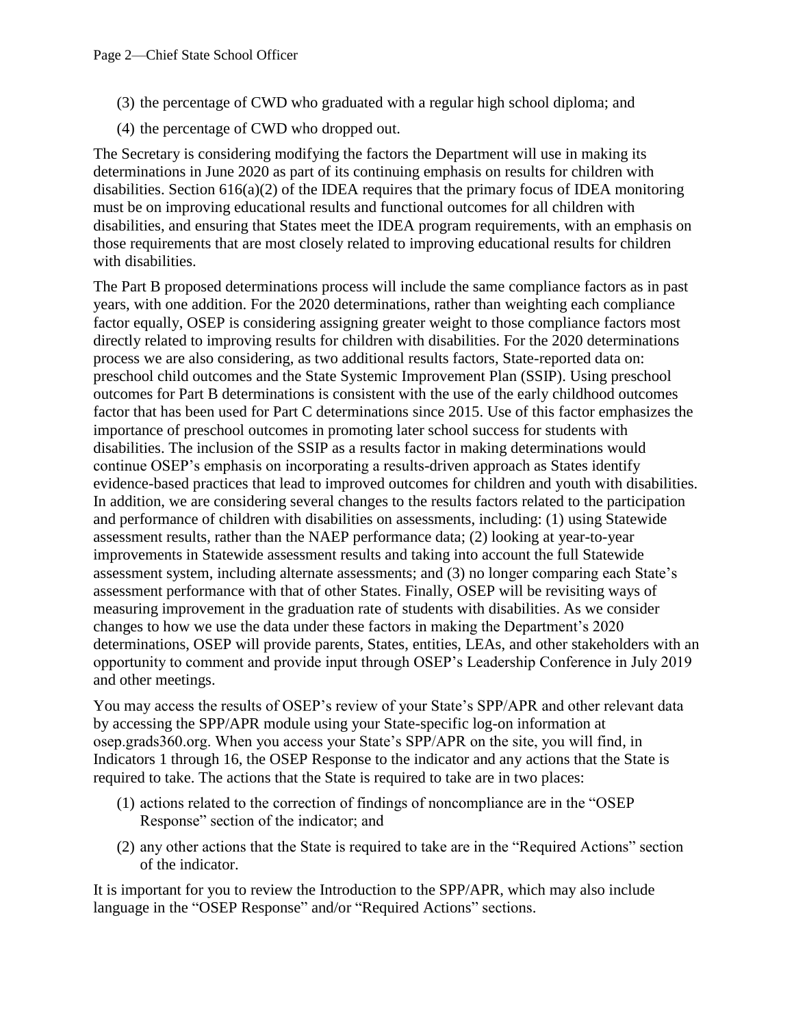- (3) the percentage of CWD who graduated with a regular high school diploma; and
- (4) the percentage of CWD who dropped out.

The Secretary is considering modifying the factors the Department will use in making its determinations in June 2020 as part of its continuing emphasis on results for children with disabilities. Section 616(a)(2) of the IDEA requires that the primary focus of IDEA monitoring must be on improving educational results and functional outcomes for all children with disabilities, and ensuring that States meet the IDEA program requirements, with an emphasis on those requirements that are most closely related to improving educational results for children with disabilities.

The Part B proposed determinations process will include the same compliance factors as in past years, with one addition. For the 2020 determinations, rather than weighting each compliance factor equally, OSEP is considering assigning greater weight to those compliance factors most directly related to improving results for children with disabilities. For the 2020 determinations process we are also considering, as two additional results factors, State-reported data on: preschool child outcomes and the State Systemic Improvement Plan (SSIP). Using preschool outcomes for Part B determinations is consistent with the use of the early childhood outcomes factor that has been used for Part C determinations since 2015. Use of this factor emphasizes the importance of preschool outcomes in promoting later school success for students with disabilities. The inclusion of the SSIP as a results factor in making determinations would continue OSEP's emphasis on incorporating a results-driven approach as States identify evidence-based practices that lead to improved outcomes for children and youth with disabilities. In addition, we are considering several changes to the results factors related to the participation and performance of children with disabilities on assessments, including: (1) using Statewide assessment results, rather than the NAEP performance data; (2) looking at year-to-year improvements in Statewide assessment results and taking into account the full Statewide assessment system, including alternate assessments; and (3) no longer comparing each State's assessment performance with that of other States. Finally, OSEP will be revisiting ways of measuring improvement in the graduation rate of students with disabilities. As we consider changes to how we use the data under these factors in making the Department's 2020 determinations, OSEP will provide parents, States, entities, LEAs, and other stakeholders with an opportunity to comment and provide input through OSEP's Leadership Conference in July 2019 and other meetings.

You may access the results of OSEP's review of your State's SPP/APR and other relevant data by accessing the SPP/APR module using your State-specific log-on information at osep.grads360.org. When you access your State's SPP/APR on the site, you will find, in Indicators 1 through 16, the OSEP Response to the indicator and any actions that the State is required to take. The actions that the State is required to take are in two places:

- (1) actions related to the correction of findings of noncompliance are in the "OSEP Response" section of the indicator; and
- (2) any other actions that the State is required to take are in the "Required Actions" section of the indicator.

It is important for you to review the Introduction to the SPP/APR, which may also include language in the "OSEP Response" and/or "Required Actions" sections.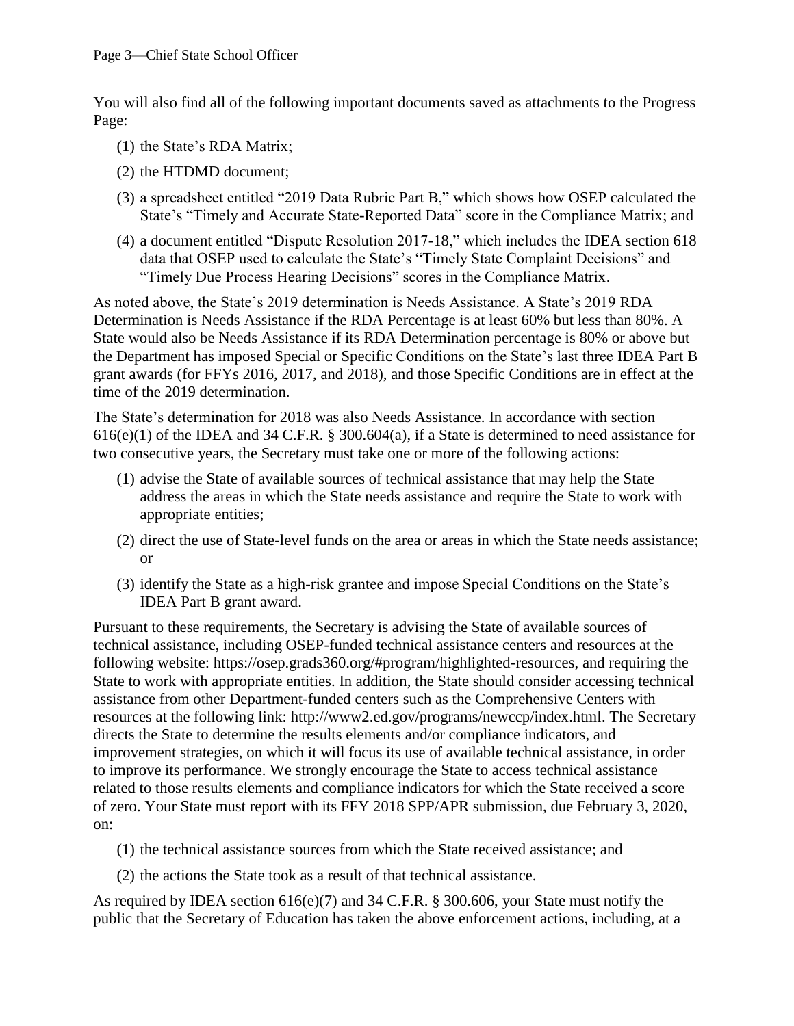You will also find all of the following important documents saved as attachments to the Progress Page:

- (1) the State's RDA Matrix;
- (2) the HTDMD document;
- (3) a spreadsheet entitled "2019 Data Rubric Part B," which shows how OSEP calculated the State's "Timely and Accurate State-Reported Data" score in the Compliance Matrix; and
- (4) a document entitled "Dispute Resolution 2017-18," which includes the IDEA section 618 data that OSEP used to calculate the State's "Timely State Complaint Decisions" and "Timely Due Process Hearing Decisions" scores in the Compliance Matrix.

As noted above, the State's 2019 determination is Needs Assistance. A State's 2019 RDA Determination is Needs Assistance if the RDA Percentage is at least 60% but less than 80%. A State would also be Needs Assistance if its RDA Determination percentage is 80% or above but the Department has imposed Special or Specific Conditions on the State's last three IDEA Part B grant awards (for FFYs 2016, 2017, and 2018), and those Specific Conditions are in effect at the time of the 2019 determination.

The State's determination for 2018 was also Needs Assistance. In accordance with section 616(e)(1) of the IDEA and 34 C.F.R. § 300.604(a), if a State is determined to need assistance for two consecutive years, the Secretary must take one or more of the following actions:

- (1) advise the State of available sources of technical assistance that may help the State address the areas in which the State needs assistance and require the State to work with appropriate entities;
- (2) direct the use of State-level funds on the area or areas in which the State needs assistance; or
- (3) identify the State as a high-risk grantee and impose Special Conditions on the State's IDEA Part B grant award.

Pursuant to these requirements, the Secretary is advising the State of available sources of technical assistance, including OSEP-funded technical assistance centers and resources at the following website: [https://osep.grads360.org/#program/highlighted-resources,](https://osep.grads360.org/#program/highlighted-resources) and requiring the State to work with appropriate entities. In addition, the State should consider accessing technical assistance from other Department-funded centers such as the Comprehensive Centers with resources at the following link: [http://www2.ed.gov/programs/newccp/index.html.](http://www2.ed.gov/programs/newccp/index.html) The Secretary directs the State to determine the results elements and/or compliance indicators, and improvement strategies, on which it will focus its use of available technical assistance, in order to improve its performance. We strongly encourage the State to access technical assistance related to those results elements and compliance indicators for which the State received a score of zero. Your State must report with its FFY 2018 SPP/APR submission, due February 3, 2020, on:

- (1) the technical assistance sources from which the State received assistance; and
- (2) the actions the State took as a result of that technical assistance.

As required by IDEA section 616(e)(7) and 34 C.F.R. § 300.606, your State must notify the public that the Secretary of Education has taken the above enforcement actions, including, at a